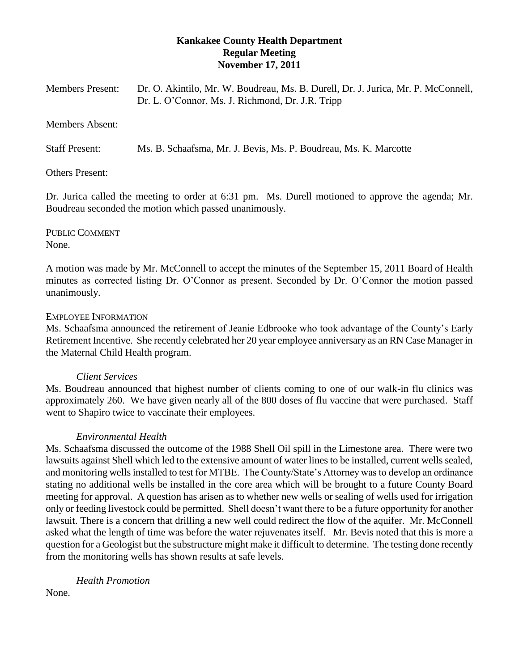# **Kankakee County Health Department Regular Meeting November 17, 2011**

| <b>Members Present:</b> | Dr. O. Akintilo, Mr. W. Boudreau, Ms. B. Durell, Dr. J. Jurica, Mr. P. McConnell, |
|-------------------------|-----------------------------------------------------------------------------------|
|                         | Dr. L. O'Connor, Ms. J. Richmond, Dr. J.R. Tripp                                  |

#### Members Absent:

Staff Present: Ms. B. Schaafsma, Mr. J. Bevis, Ms. P. Boudreau, Ms. K. Marcotte

## Others Present:

Dr. Jurica called the meeting to order at 6:31 pm. Ms. Durell motioned to approve the agenda; Mr. Boudreau seconded the motion which passed unanimously.

PUBLIC COMMENT None.

A motion was made by Mr. McConnell to accept the minutes of the September 15, 2011 Board of Health minutes as corrected listing Dr. O'Connor as present. Seconded by Dr. O'Connor the motion passed unanimously.

## EMPLOYEE INFORMATION

Ms. Schaafsma announced the retirement of Jeanie Edbrooke who took advantage of the County's Early Retirement Incentive. She recently celebrated her 20 year employee anniversary as an RN Case Manager in the Maternal Child Health program.

#### *Client Services*

Ms. Boudreau announced that highest number of clients coming to one of our walk-in flu clinics was approximately 260. We have given nearly all of the 800 doses of flu vaccine that were purchased. Staff went to Shapiro twice to vaccinate their employees.

## *Environmental Health*

Ms. Schaafsma discussed the outcome of the 1988 Shell Oil spill in the Limestone area. There were two lawsuits against Shell which led to the extensive amount of water lines to be installed, current wells sealed, and monitoring wells installed to test for MTBE. The County/State's Attorney was to develop an ordinance stating no additional wells be installed in the core area which will be brought to a future County Board meeting for approval. A question has arisen as to whether new wells or sealing of wells used for irrigation only or feeding livestock could be permitted. Shell doesn't want there to be a future opportunity for another lawsuit. There is a concern that drilling a new well could redirect the flow of the aquifer. Mr. McConnell asked what the length of time was before the water rejuvenates itself. Mr. Bevis noted that this is more a question for a Geologist but the substructure might make it difficult to determine. The testing done recently from the monitoring wells has shown results at safe levels.

*Health Promotion*

None.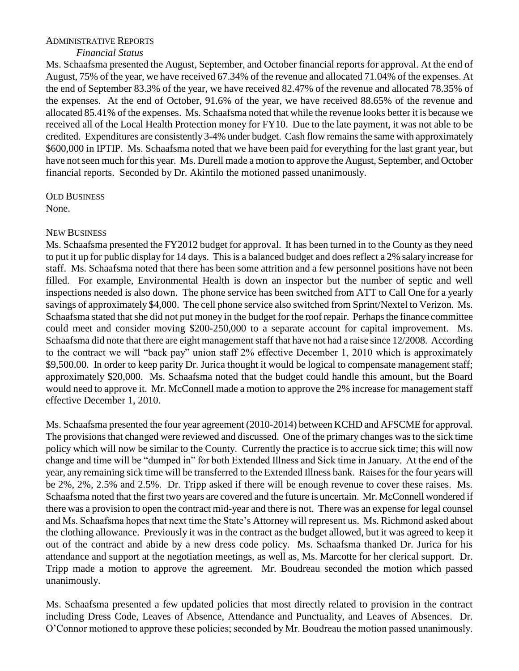## ADMINISTRATIVE REPORTS

## *Financial Status*

Ms. Schaafsma presented the August, September, and October financial reports for approval. At the end of August, 75% of the year, we have received 67.34% of the revenue and allocated 71.04% of the expenses. At the end of September 83.3% of the year, we have received 82.47% of the revenue and allocated 78.35% of the expenses. At the end of October, 91.6% of the year, we have received 88.65% of the revenue and allocated 85.41% of the expenses. Ms. Schaafsma noted that while the revenue looks better it is because we received all of the Local Health Protection money for FY10. Due to the late payment, it was not able to be credited. Expenditures are consistently 3-4% under budget. Cash flow remains the same with approximately \$600,000 in IPTIP. Ms. Schaafsma noted that we have been paid for everything for the last grant year, but have not seen much for this year. Ms. Durell made a motion to approve the August, September, and October financial reports. Seconded by Dr. Akintilo the motioned passed unanimously.

OLD BUSINESS None.

## NEW BUSINESS

Ms. Schaafsma presented the FY2012 budget for approval. It has been turned in to the County as they need to put it up for public display for 14 days. This is a balanced budget and does reflect a 2% salary increase for staff. Ms. Schaafsma noted that there has been some attrition and a few personnel positions have not been filled. For example, Environmental Health is down an inspector but the number of septic and well inspections needed is also down. The phone service has been switched from ATT to Call One for a yearly savings of approximately \$4,000. The cell phone service also switched from Sprint/Nextel to Verizon. Ms. Schaafsma stated that she did not put money in the budget for the roof repair. Perhaps the finance committee could meet and consider moving \$200-250,000 to a separate account for capital improvement. Ms. Schaafsma did note that there are eight management staff that have not had a raise since 12/2008. According to the contract we will "back pay" union staff 2% effective December 1, 2010 which is approximately \$9,500.00. In order to keep parity Dr. Jurica thought it would be logical to compensate management staff; approximately \$20,000. Ms. Schaafsma noted that the budget could handle this amount, but the Board would need to approve it. Mr. McConnell made a motion to approve the 2% increase for management staff effective December 1, 2010.

Ms. Schaafsma presented the four year agreement (2010-2014) between KCHD and AFSCME for approval. The provisions that changed were reviewed and discussed. One of the primary changes was to the sick time policy which will now be similar to the County. Currently the practice is to accrue sick time; this will now change and time will be "dumped in" for both Extended Illness and Sick time in January. At the end of the year, any remaining sick time will be transferred to the Extended Illness bank. Raises for the four years will be 2%, 2%, 2.5% and 2.5%. Dr. Tripp asked if there will be enough revenue to cover these raises. Ms. Schaafsma noted that the first two years are covered and the future is uncertain. Mr. McConnell wondered if there was a provision to open the contract mid-year and there is not. There was an expense for legal counsel and Ms. Schaafsma hopes that next time the State's Attorney will represent us. Ms. Richmond asked about the clothing allowance. Previously it was in the contract as the budget allowed, but it was agreed to keep it out of the contract and abide by a new dress code policy. Ms. Schaafsma thanked Dr. Jurica for his attendance and support at the negotiation meetings, as well as, Ms. Marcotte for her clerical support. Dr. Tripp made a motion to approve the agreement. Mr. Boudreau seconded the motion which passed unanimously.

Ms. Schaafsma presented a few updated policies that most directly related to provision in the contract including Dress Code, Leaves of Absence, Attendance and Punctuality, and Leaves of Absences. Dr. O'Connor motioned to approve these policies; seconded by Mr. Boudreau the motion passed unanimously.